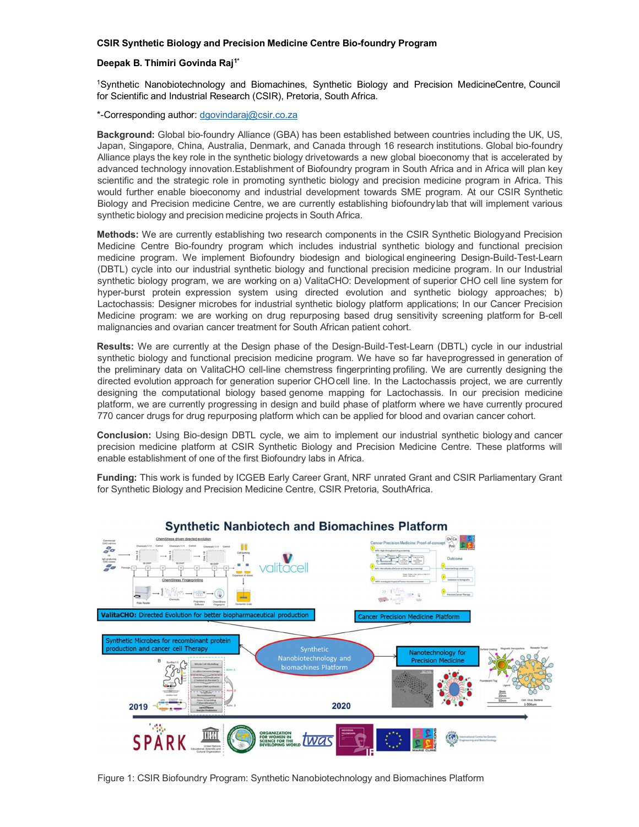## **CSIR Synthetic Biology and Precision Medicine Centre Bio-foundry Program**

## **Deepak B. Thimiri Govinda Raj1\***

1Synthetic Nanobiotechnology and Biomachines, Synthetic Biology and Precision MedicineCentre, Council for Scientific and Industrial Research (CSIR), Pretoria, South Africa.

\*-Corresponding author: [dgovindaraj@csir.co.za](mailto:dgovindaraj@csir.co.za)

**Background:** Global bio-foundry Alliance (GBA) has been established between countries including the UK, US, Japan, Singapore, China, Australia, Denmark, and Canada through 16 research institutions. Global bio-foundry Alliance plays the key role in the synthetic biology drivetowards a new global bioeconomy that is accelerated by advanced technology innovation.Establishment of Biofoundry program in South Africa and in Africa will plan key scientific and the strategic role in promoting synthetic biology and precision medicine program in Africa. This would further enable bioeconomy and industrial development towards SME program. At our CSIR Synthetic Biology and Precision medicine Centre, we are currently establishing biofoundrylab that will implement various synthetic biology and precision medicine projects in South Africa.

**Methods:** We are currently establishing two research components in the CSIR Synthetic Biologyand Precision Medicine Centre Bio-foundry program which includes industrial synthetic biology and functional precision medicine program. We implement Biofoundry biodesign and biological engineering Design-Build-Test-Learn (DBTL) cycle into our industrial synthetic biology and functional precision medicine program. In our Industrial synthetic biology program, we are working on a) ValitaCHO: Development of superior CHO cell line system for hyper-burst protein expression system using directed evolution and synthetic biology approaches; b) Lactochassis: Designer microbes for industrial synthetic biology platform applications; In our Cancer Precision Medicine program: we are working on drug repurposing based drug sensitivity screening platform for B-cell malignancies and ovarian cancer treatment for South African patient cohort.

**Results:** We are currently at the Design phase of the Design-Build-Test-Learn (DBTL) cycle in our industrial synthetic biology and functional precision medicine program. We have so far haveprogressed in generation of the preliminary data on ValitaCHO cell-line chemstress fingerprinting profiling. We are currently designing the directed evolution approach for generation superior CHOcell line. In the Lactochassis project, we are currently designing the computational biology based genome mapping for Lactochassis. In our precision medicine platform, we are currently progressing in design and build phase of platform where we have currently procured 770 cancer drugs for drug repurposing platform which can be applied for blood and ovarian cancer cohort.

**Conclusion:** Using Bio-design DBTL cycle, we aim to implement our industrial synthetic biology and cancer precision medicine platform at CSIR Synthetic Biology and Precision Medicine Centre. These platforms will enable establishment of one of the first Biofoundry labs in Africa.

**Funding:** This work is funded by ICGEB Early Career Grant, NRF unrated Grant and CSIR Parliamentary Grant for Synthetic Biology and Precision Medicine Centre, CSIR Pretoria, SouthAfrica.



Figure 1: CSIR Biofoundry Program: Synthetic Nanobiotechnology and Biomachines Platform